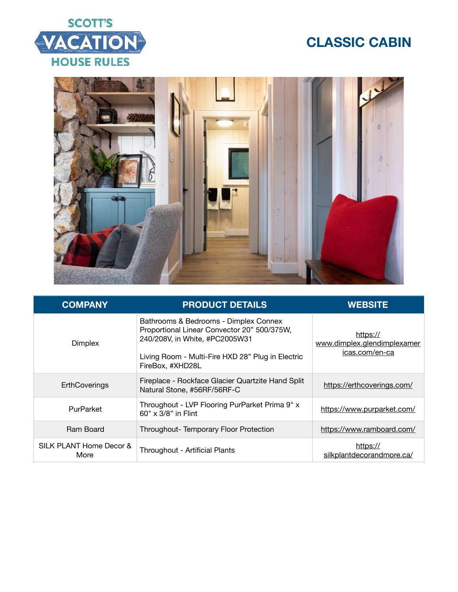# **SCOTT'S** VACATION **HOUSE RULES**



| <b>COMPANY</b>                  | <b>PRODUCT DETAILS</b>                                                                                                                                                                          | <b>WEBSITE</b>                                            |
|---------------------------------|-------------------------------------------------------------------------------------------------------------------------------------------------------------------------------------------------|-----------------------------------------------------------|
| <b>Dimplex</b>                  | Bathrooms & Bedrooms - Dimplex Connex<br>Proportional Linear Convector 20" 500/375W,<br>240/208V, in White, #PC2005W31<br>Living Room - Multi-Fire HXD 28" Plug in Electric<br>FireBox, #XHD28L | https://<br>www.dimplex.glendimplexamer<br>icas.com/en-ca |
| <b>ErthCoverings</b>            | Fireplace - Rockface Glacier Quartzite Hand Split<br>Natural Stone, #56RF/56RF-C                                                                                                                | https://erthcoverings.com/                                |
| PurParket                       | Throughout - LVP Flooring PurParket Prima 9" x<br>60" x 3/8" in Flint                                                                                                                           | https://www.purparket.com/                                |
| Ram Board                       | Throughout-Temporary Floor Protection                                                                                                                                                           | https://www.ramboard.com/                                 |
| SILK PLANT Home Decor &<br>More | Throughout - Artificial Plants                                                                                                                                                                  | https://<br>silkplantdecorandmore.ca/                     |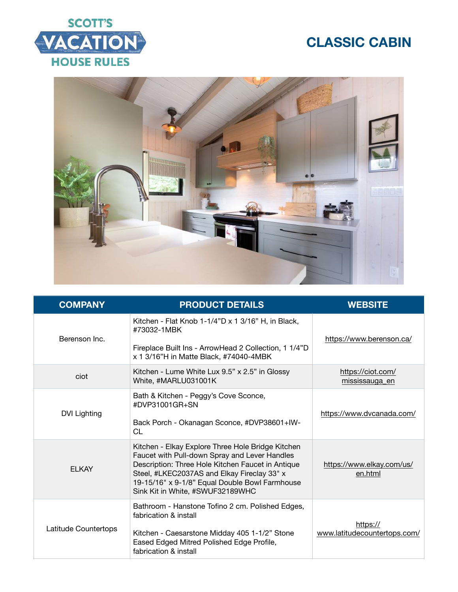



| <b>COMPANY</b>       | <b>PRODUCT DETAILS</b>                                                                                                                                                                                                                                                                       | <b>WEBSITE</b>                           |
|----------------------|----------------------------------------------------------------------------------------------------------------------------------------------------------------------------------------------------------------------------------------------------------------------------------------------|------------------------------------------|
| Berenson Inc.        | Kitchen - Flat Knob 1-1/4"D x 1 3/16" H, in Black,<br>#73032-1MBK<br>Fireplace Built Ins - ArrowHead 2 Collection, 1 1/4"D<br>x 1 3/16"H in Matte Black, #74040-4MBK                                                                                                                         | https://www.berenson.ca/                 |
| ciot                 | Kitchen - Lume White Lux 9.5" x 2.5" in Glossy<br>White, #MARLU031001K                                                                                                                                                                                                                       | https://ciot.com/<br>mississauga_en      |
| <b>DVI Lighting</b>  | Bath & Kitchen - Peggy's Cove Sconce,<br>#DVP31001GR+SN<br>Back Porch - Okanagan Sconce, #DVP38601+IW-<br><b>CL</b>                                                                                                                                                                          | https://www.dvcanada.com/                |
| <b>FI KAY</b>        | Kitchen - Elkay Explore Three Hole Bridge Kitchen<br>Faucet with Pull-down Spray and Lever Handles<br>Description: Three Hole Kitchen Faucet in Antique<br>Steel, #LKEC2037AS and Elkay Fireclay 33" x<br>19-15/16" x 9-1/8" Equal Double Bowl Farmhouse<br>Sink Kit in White, #SWUF32189WHC | https://www.elkay.com/us/<br>en.html     |
| Latitude Countertops | Bathroom - Hanstone Tofino 2 cm. Polished Edges,<br>fabrication & install<br>Kitchen - Caesarstone Midday 405 1-1/2" Stone<br>Eased Edged Mitred Polished Edge Profile,<br>fabrication & install                                                                                             | https://<br>www.latitudecountertops.com/ |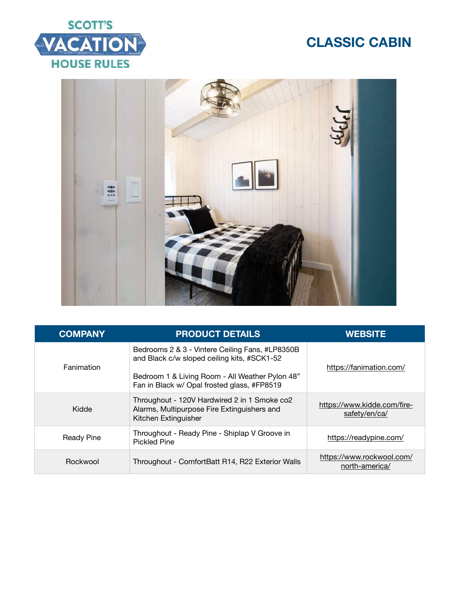



| <b>COMPANY</b>    | <b>PRODUCT DETAILS</b>                                                                                                                                                                           | <b>WEBSITE</b>                               |
|-------------------|--------------------------------------------------------------------------------------------------------------------------------------------------------------------------------------------------|----------------------------------------------|
| Fanimation        | Bedrooms 2 & 3 - Vintere Ceiling Fans, #LP8350B<br>and Black c/w sloped ceiling kits, #SCK1-52<br>Bedroom 1 & Living Room - All Weather Pylon 48"<br>Fan in Black w/ Opal frosted glass, #FP8519 | https://fanimation.com/                      |
| Kidde             | Throughout - 120V Hardwired 2 in 1 Smoke co2<br>Alarms, Multipurpose Fire Extinguishers and<br>Kitchen Extinguisher                                                                              | https://www.kidde.com/fire-<br>safety/en/ca/ |
| <b>Ready Pine</b> | Throughout - Ready Pine - Shiplap V Groove in<br><b>Pickled Pine</b>                                                                                                                             | https://readypine.com/                       |
| Rockwool          | Throughout - ComfortBatt R14, R22 Exterior Walls                                                                                                                                                 | https://www.rockwool.com/<br>north-america/  |